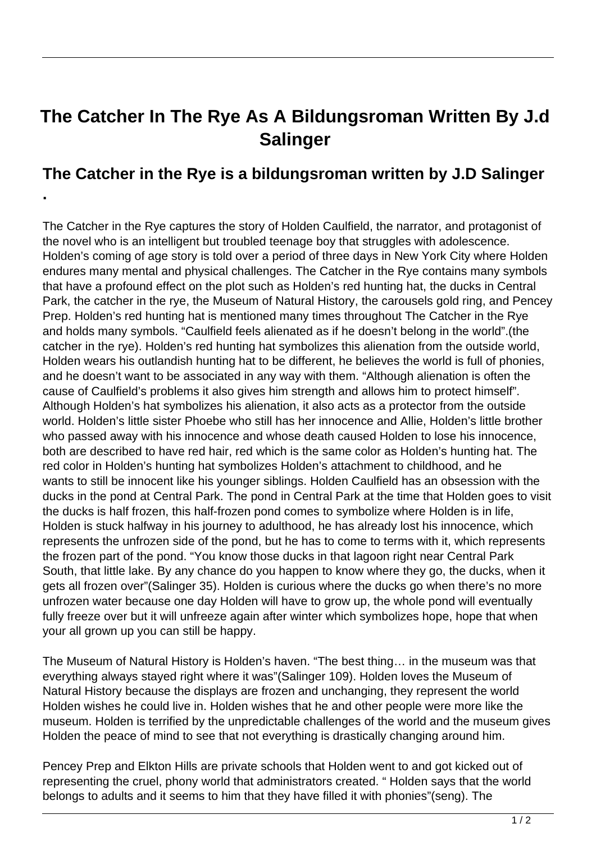## **The Catcher In The Rye As A Bildungsroman Written By J.d Salinger**

## **The Catcher in the Rye is a bildungsroman written by J.D Salinger**

**.** 

The Catcher in the Rye captures the story of Holden Caulfield, the narrator, and protagonist of the novel who is an intelligent but troubled teenage boy that struggles with adolescence. Holden's coming of age story is told over a period of three days in New York City where Holden endures many mental and physical challenges. The Catcher in the Rye contains many symbols that have a profound effect on the plot such as Holden's red hunting hat, the ducks in Central Park, the catcher in the rye, the Museum of Natural History, the carousels gold ring, and Pencey Prep. Holden's red hunting hat is mentioned many times throughout The Catcher in the Rye and holds many symbols. "Caulfield feels alienated as if he doesn't belong in the world".(the catcher in the rye). Holden's red hunting hat symbolizes this alienation from the outside world, Holden wears his outlandish hunting hat to be different, he believes the world is full of phonies, and he doesn't want to be associated in any way with them. "Although alienation is often the cause of Caulfield's problems it also gives him strength and allows him to protect himself". Although Holden's hat symbolizes his alienation, it also acts as a protector from the outside world. Holden's little sister Phoebe who still has her innocence and Allie, Holden's little brother who passed away with his innocence and whose death caused Holden to lose his innocence, both are described to have red hair, red which is the same color as Holden's hunting hat. The red color in Holden's hunting hat symbolizes Holden's attachment to childhood, and he wants to still be innocent like his younger siblings. Holden Caulfield has an obsession with the ducks in the pond at Central Park. The pond in Central Park at the time that Holden goes to visit the ducks is half frozen, this half-frozen pond comes to symbolize where Holden is in life, Holden is stuck halfway in his journey to adulthood, he has already lost his innocence, which represents the unfrozen side of the pond, but he has to come to terms with it, which represents the frozen part of the pond. "You know those ducks in that lagoon right near Central Park South, that little lake. By any chance do you happen to know where they go, the ducks, when it gets all frozen over"(Salinger 35). Holden is curious where the ducks go when there's no more unfrozen water because one day Holden will have to grow up, the whole pond will eventually fully freeze over but it will unfreeze again after winter which symbolizes hope, hope that when your all grown up you can still be happy.

The Museum of Natural History is Holden's haven. "The best thing… in the museum was that everything always stayed right where it was"(Salinger 109). Holden loves the Museum of Natural History because the displays are frozen and unchanging, they represent the world Holden wishes he could live in. Holden wishes that he and other people were more like the museum. Holden is terrified by the unpredictable challenges of the world and the museum gives Holden the peace of mind to see that not everything is drastically changing around him.

Pencey Prep and Elkton Hills are private schools that Holden went to and got kicked out of representing the cruel, phony world that administrators created. " Holden says that the world belongs to adults and it seems to him that they have filled it with phonies"(seng). The